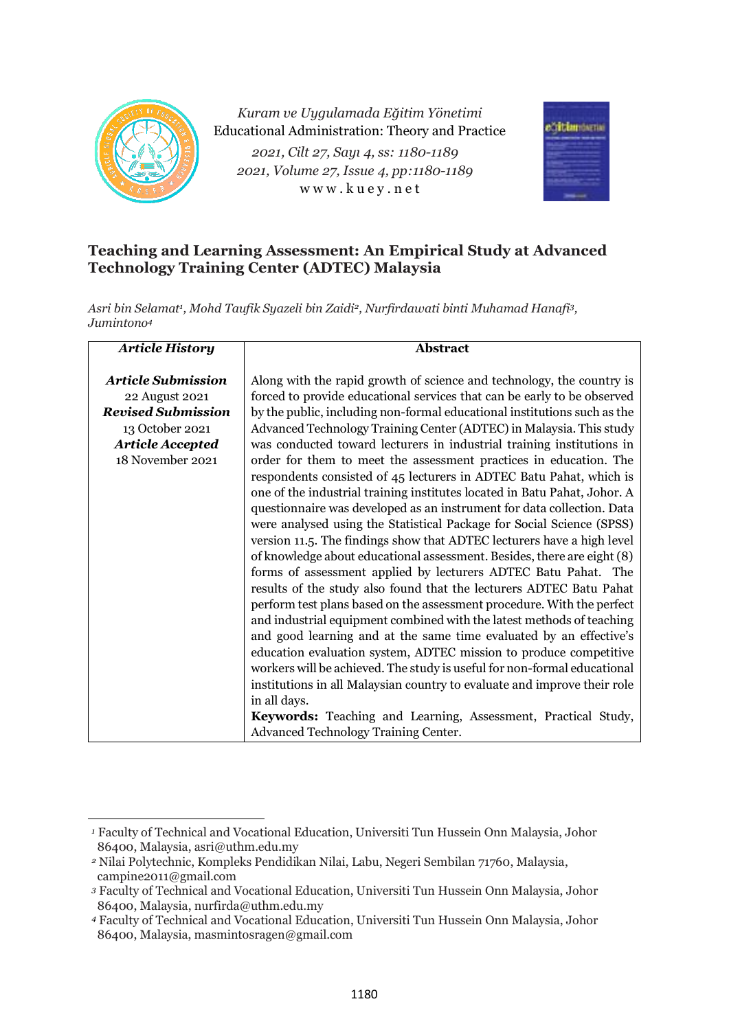

*Kuram ve Uygulamada Eğitim Yönetimi* Educational Administration: Theory and Practice *2021, Cilt 27, Sayı 4, ss: 1180-1189 2021, Volume 27, Issue 4, pp:1180-1189* w w w . k u e y . n e t



# **Teaching and Learning Assessment: An Empirical Study at Advanced Technology Training Center (ADTEC) Malaysia**

*Asri bin Selamat<sup>1</sup> , Mohd Taufik Syazeli bin Zaidi2, Nurfirdawati binti Muhamad Hanafi3, Jumintono<sup>4</sup>*

| <b>Article History</b>                                                                                                                     | <b>Abstract</b>                                                                                                                                                                                                                                                                                                                                                                                                                                                                                                                                                                                                                                                                                                                                                                                                                                                                                                                                                                                                                                                                                                                                                                                                                                                                                                                                      |
|--------------------------------------------------------------------------------------------------------------------------------------------|------------------------------------------------------------------------------------------------------------------------------------------------------------------------------------------------------------------------------------------------------------------------------------------------------------------------------------------------------------------------------------------------------------------------------------------------------------------------------------------------------------------------------------------------------------------------------------------------------------------------------------------------------------------------------------------------------------------------------------------------------------------------------------------------------------------------------------------------------------------------------------------------------------------------------------------------------------------------------------------------------------------------------------------------------------------------------------------------------------------------------------------------------------------------------------------------------------------------------------------------------------------------------------------------------------------------------------------------------|
| <b>Article Submission</b><br>22 August 2021<br><b>Revised Submission</b><br>13 October 2021<br><b>Article Accepted</b><br>18 November 2021 | Along with the rapid growth of science and technology, the country is<br>forced to provide educational services that can be early to be observed<br>by the public, including non-formal educational institutions such as the<br>Advanced Technology Training Center (ADTEC) in Malaysia. This study<br>was conducted toward lecturers in industrial training institutions in<br>order for them to meet the assessment practices in education. The<br>respondents consisted of 45 lecturers in ADTEC Batu Pahat, which is<br>one of the industrial training institutes located in Batu Pahat, Johor. A<br>questionnaire was developed as an instrument for data collection. Data<br>were analysed using the Statistical Package for Social Science (SPSS)<br>version 11.5. The findings show that ADTEC lecturers have a high level<br>of knowledge about educational assessment. Besides, there are eight (8)<br>forms of assessment applied by lecturers ADTEC Batu Pahat. The<br>results of the study also found that the lecturers ADTEC Batu Pahat<br>perform test plans based on the assessment procedure. With the perfect<br>and industrial equipment combined with the latest methods of teaching<br>and good learning and at the same time evaluated by an effective's<br>education evaluation system, ADTEC mission to produce competitive |
|                                                                                                                                            | workers will be achieved. The study is useful for non-formal educational<br>institutions in all Malaysian country to evaluate and improve their role                                                                                                                                                                                                                                                                                                                                                                                                                                                                                                                                                                                                                                                                                                                                                                                                                                                                                                                                                                                                                                                                                                                                                                                                 |
|                                                                                                                                            | in all days.                                                                                                                                                                                                                                                                                                                                                                                                                                                                                                                                                                                                                                                                                                                                                                                                                                                                                                                                                                                                                                                                                                                                                                                                                                                                                                                                         |
|                                                                                                                                            | Keywords: Teaching and Learning, Assessment, Practical Study,<br>Advanced Technology Training Center.                                                                                                                                                                                                                                                                                                                                                                                                                                                                                                                                                                                                                                                                                                                                                                                                                                                                                                                                                                                                                                                                                                                                                                                                                                                |

*<sup>1</sup>* Faculty of Technical and Vocational Education, Universiti Tun Hussein Onn Malaysia, Johor 86400, Malaysia, asri@uthm.edu.my

*<sup>2</sup>* Nilai Polytechnic, Kompleks Pendidikan Nilai, Labu, Negeri Sembilan 71760, Malaysia, campine2011@gmail.com

*<sup>3</sup>* Faculty of Technical and Vocational Education, Universiti Tun Hussein Onn Malaysia, Johor 86400, Malaysia, nurfirda@uthm.edu.my

*<sup>4</sup>* Faculty of Technical and Vocational Education, Universiti Tun Hussein Onn Malaysia, Johor 86400, Malaysia, masmintosragen@gmail.com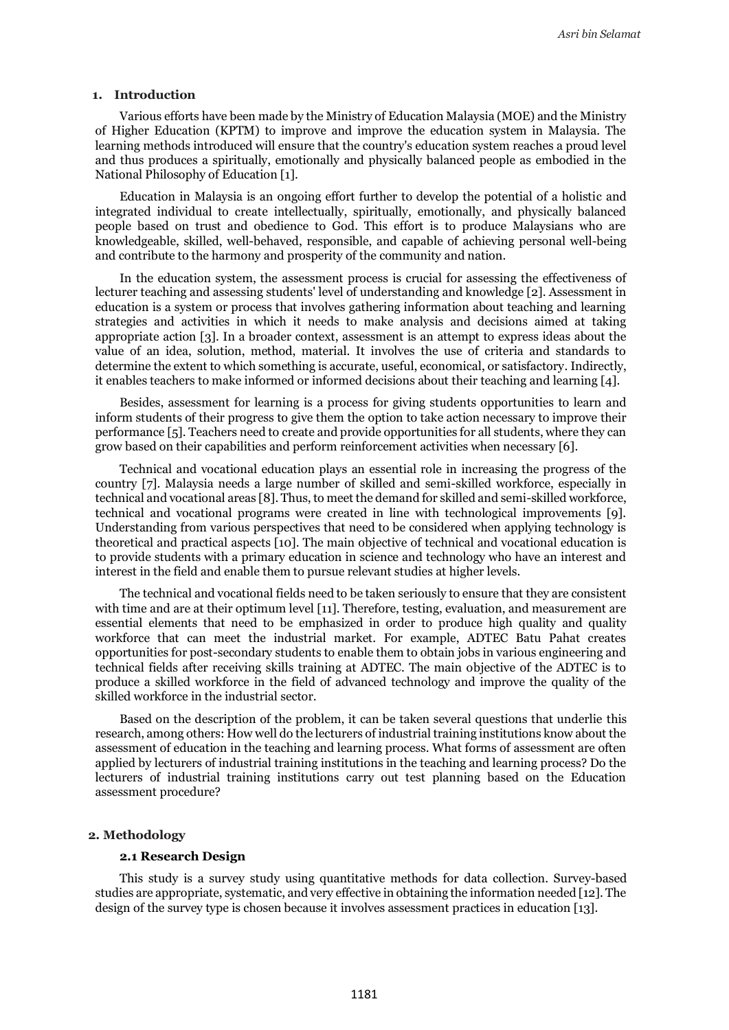#### **1. Introduction**

Various efforts have been made by the Ministry of Education Malaysia (MOE) and the Ministry of Higher Education (KPTM) to improve and improve the education system in Malaysia. The learning methods introduced will ensure that the country's education system reaches a proud level and thus produces a spiritually, emotionally and physically balanced people as embodied in the National Philosophy of Education [1].

Education in Malaysia is an ongoing effort further to develop the potential of a holistic and integrated individual to create intellectually, spiritually, emotionally, and physically balanced people based on trust and obedience to God. This effort is to produce Malaysians who are knowledgeable, skilled, well-behaved, responsible, and capable of achieving personal well-being and contribute to the harmony and prosperity of the community and nation.

In the education system, the assessment process is crucial for assessing the effectiveness of lecturer teaching and assessing students' level of understanding and knowledge [2]. Assessment in education is a system or process that involves gathering information about teaching and learning strategies and activities in which it needs to make analysis and decisions aimed at taking appropriate action [3]. In a broader context, assessment is an attempt to express ideas about the value of an idea, solution, method, material. It involves the use of criteria and standards to determine the extent to which something is accurate, useful, economical, or satisfactory. Indirectly, it enables teachers to make informed or informed decisions about their teaching and learning [4].

Besides, assessment for learning is a process for giving students opportunities to learn and inform students of their progress to give them the option to take action necessary to improve their performance [5]. Teachers need to create and provide opportunities for all students, where they can grow based on their capabilities and perform reinforcement activities when necessary [6].

Technical and vocational education plays an essential role in increasing the progress of the country [7]. Malaysia needs a large number of skilled and semi-skilled workforce, especially in technical and vocational areas [8]. Thus, to meet the demand for skilled and semi-skilled workforce, technical and vocational programs were created in line with technological improvements [9]. Understanding from various perspectives that need to be considered when applying technology is theoretical and practical aspects [10]. The main objective of technical and vocational education is to provide students with a primary education in science and technology who have an interest and interest in the field and enable them to pursue relevant studies at higher levels.

The technical and vocational fields need to be taken seriously to ensure that they are consistent with time and are at their optimum level [11]. Therefore, testing, evaluation, and measurement are essential elements that need to be emphasized in order to produce high quality and quality workforce that can meet the industrial market. For example, ADTEC Batu Pahat creates opportunities for post-secondary students to enable them to obtain jobs in various engineering and technical fields after receiving skills training at ADTEC. The main objective of the ADTEC is to produce a skilled workforce in the field of advanced technology and improve the quality of the skilled workforce in the industrial sector.

Based on the description of the problem, it can be taken several questions that underlie this research, among others: How well do the lecturers of industrial training institutions know about the assessment of education in the teaching and learning process. What forms of assessment are often applied by lecturers of industrial training institutions in the teaching and learning process? Do the lecturers of industrial training institutions carry out test planning based on the Education assessment procedure?

### **2. Methodology**

### **2.1 Research Design**

This study is a survey study using quantitative methods for data collection. Survey-based studies are appropriate, systematic, and very effective in obtaining the information needed [12]. The design of the survey type is chosen because it involves assessment practices in education [13].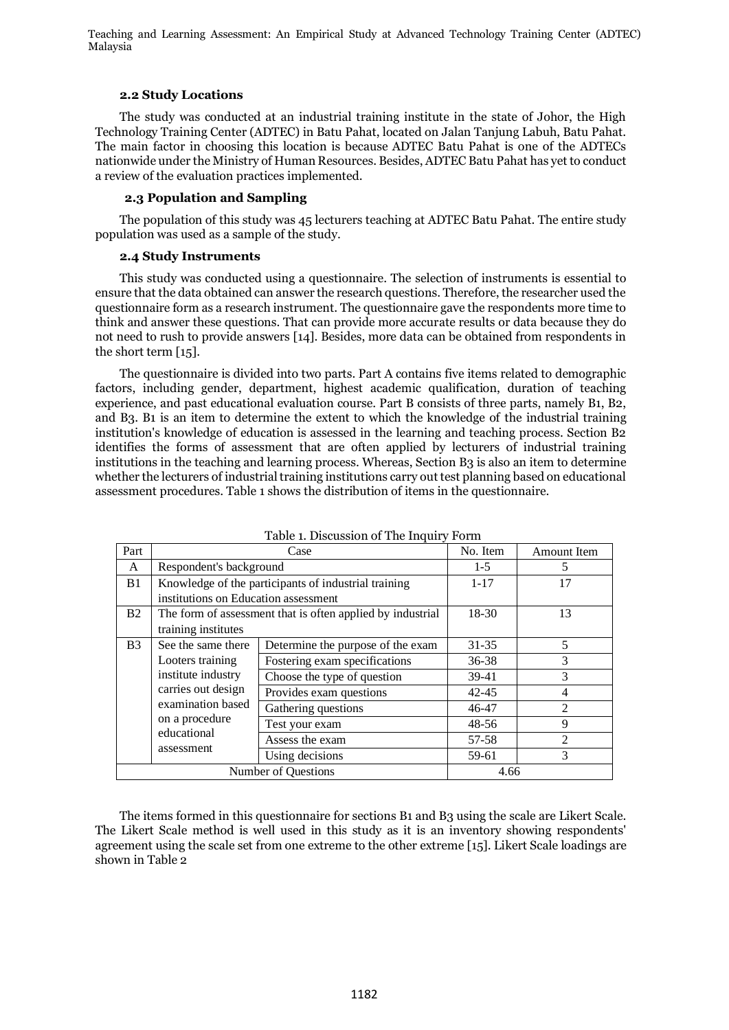## **2.2 Study Locations**

The study was conducted at an industrial training institute in the state of Johor, the High Technology Training Center (ADTEC) in Batu Pahat, located on Jalan Tanjung Labuh, Batu Pahat. The main factor in choosing this location is because ADTEC Batu Pahat is one of the ADTECs nationwide under the Ministry of Human Resources. Besides, ADTEC Batu Pahat has yet to conduct a review of the evaluation practices implemented.

## **2.3 Population and Sampling**

The population of this study was 45 lecturers teaching at ADTEC Batu Pahat. The entire study population was used as a sample of the study.

#### **2.4 Study Instruments**

This study was conducted using a questionnaire. The selection of instruments is essential to ensure that the data obtained can answer the research questions. Therefore, the researcher used the questionnaire form as a research instrument. The questionnaire gave the respondents more time to think and answer these questions. That can provide more accurate results or data because they do not need to rush to provide answers [14]. Besides, more data can be obtained from respondents in the short term [15].

The questionnaire is divided into two parts. Part A contains five items related to demographic factors, including gender, department, highest academic qualification, duration of teaching experience, and past educational evaluation course. Part B consists of three parts, namely B1, B2, and B3. B1 is an item to determine the extent to which the knowledge of the industrial training institution's knowledge of education is assessed in the learning and teaching process. Section B2 identifies the forms of assessment that are often applied by lecturers of industrial training institutions in the teaching and learning process. Whereas, Section B3 is also an item to determine whether the lecturers of industrial training institutions carry out test planning based on educational assessment procedures. Table 1 shows the distribution of items in the questionnaire.

| Part                                                                                   |                                      | Case                                                       | No. Item       | <b>Amount Item</b>          |
|----------------------------------------------------------------------------------------|--------------------------------------|------------------------------------------------------------|----------------|-----------------------------|
| A                                                                                      | Respondent's background              |                                                            | $1 - 5$        | 5                           |
| B <sub>1</sub>                                                                         |                                      | Knowledge of the participants of industrial training       | $1 - 17$       | 17                          |
|                                                                                        | institutions on Education assessment |                                                            |                |                             |
| B <sub>2</sub>                                                                         |                                      | The form of assessment that is often applied by industrial | 18-30          | 13                          |
|                                                                                        | training institutes                  |                                                            |                |                             |
| B <sub>3</sub>                                                                         | See the same there                   | Determine the purpose of the exam                          | 31-35          | 5                           |
| Looters training                                                                       | Fostering exam specifications        | 36-38                                                      | 3              |                             |
| institute industry                                                                     |                                      | Choose the type of question                                | 39-41          | 3                           |
| carries out design<br>examination based<br>on a procedure<br>educational<br>assessment | Provides exam questions              | $42 - 45$                                                  | 4              |                             |
|                                                                                        | Gathering questions                  | $46 - 47$                                                  | $\mathfrak{D}$ |                             |
|                                                                                        |                                      | Test your exam                                             | $48 - 56$      | 9                           |
|                                                                                        |                                      | Assess the exam                                            | 57-58          | $\mathcal{D}_{\mathcal{L}}$ |
|                                                                                        |                                      | Using decisions                                            | 59-61          | 3                           |
| Number of Questions                                                                    |                                      | 4.66                                                       |                |                             |

Table 1. Discussion of The Inquiry Form

The items formed in this questionnaire for sections B1 and B3 using the scale are Likert Scale. The Likert Scale method is well used in this study as it is an inventory showing respondents' agreement using the scale set from one extreme to the other extreme [15]. Likert Scale loadings are shown in Table 2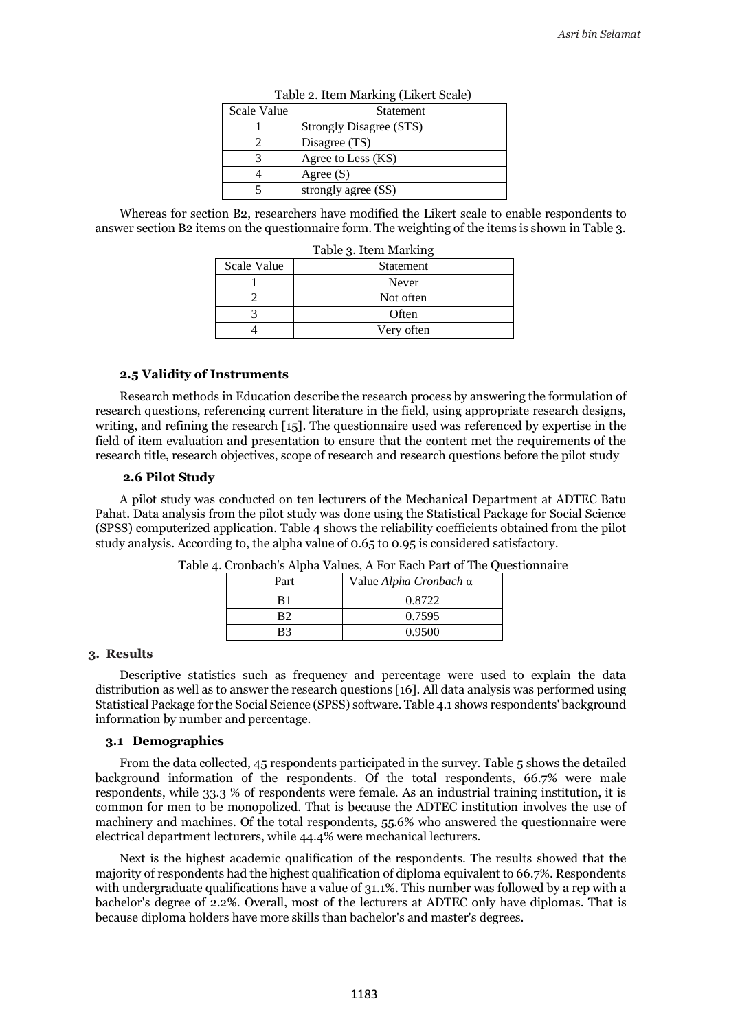| Table 2. Item Marking (Likert Scale) |                         |  |  |
|--------------------------------------|-------------------------|--|--|
| Scale Value<br>Statement             |                         |  |  |
|                                      | Strongly Disagree (STS) |  |  |
|                                      | Disagree (TS)           |  |  |
|                                      | Agree to Less (KS)      |  |  |
|                                      | Agree $(S)$             |  |  |
|                                      | strongly agree (SS)     |  |  |

Whereas for section B2, researchers have modified the Likert scale to enable respondents to

Table 3. Item Marking Scale Value | Statement 1 Never 2 Not often 3 Often

4 Very often

answer section B2 items on the questionnaire form. The weighting of the items is shown in Table 3.

# **2.5 Validity of Instruments**

Research methods in Education describe the research process by answering the formulation of research questions, referencing current literature in the field, using appropriate research designs, writing, and refining the research [15]. The questionnaire used was referenced by expertise in the field of item evaluation and presentation to ensure that the content met the requirements of the research title, research objectives, scope of research and research questions before the pilot study

#### **2.6 Pilot Study**

A pilot study was conducted on ten lecturers of the Mechanical Department at ADTEC Batu Pahat. Data analysis from the pilot study was done using the Statistical Package for Social Science (SPSS) computerized application. Table 4 shows the reliability coefficients obtained from the pilot study analysis. According to, the alpha value of 0.65 to 0.95 is considered satisfactory.

| Part           | Value Alpha Cronbach α |
|----------------|------------------------|
| R1             | 0.8722                 |
| R2             | 0.7595                 |
| R <sup>2</sup> | 0.9500                 |

| Table 4. Cronbach's Alpha Values, A For Each Part of The Questionnaire |
|------------------------------------------------------------------------|
|------------------------------------------------------------------------|

#### **3. Results**

Descriptive statistics such as frequency and percentage were used to explain the data distribution as well as to answer the research questions [16]. All data analysis was performed using Statistical Package for the Social Science (SPSS) software. Table 4.1 shows respondents' background information by number and percentage.

## **3.1 Demographics**

From the data collected, 45 respondents participated in the survey. Table 5 shows the detailed background information of the respondents. Of the total respondents, 66.7% were male respondents, while 33.3 % of respondents were female. As an industrial training institution, it is common for men to be monopolized. That is because the ADTEC institution involves the use of machinery and machines. Of the total respondents, 55.6% who answered the questionnaire were electrical department lecturers, while 44.4% were mechanical lecturers.

Next is the highest academic qualification of the respondents. The results showed that the majority of respondents had the highest qualification of diploma equivalent to 66.7%. Respondents with undergraduate qualifications have a value of 31.1%. This number was followed by a rep with a bachelor's degree of 2.2%. Overall, most of the lecturers at ADTEC only have diplomas. That is because diploma holders have more skills than bachelor's and master's degrees.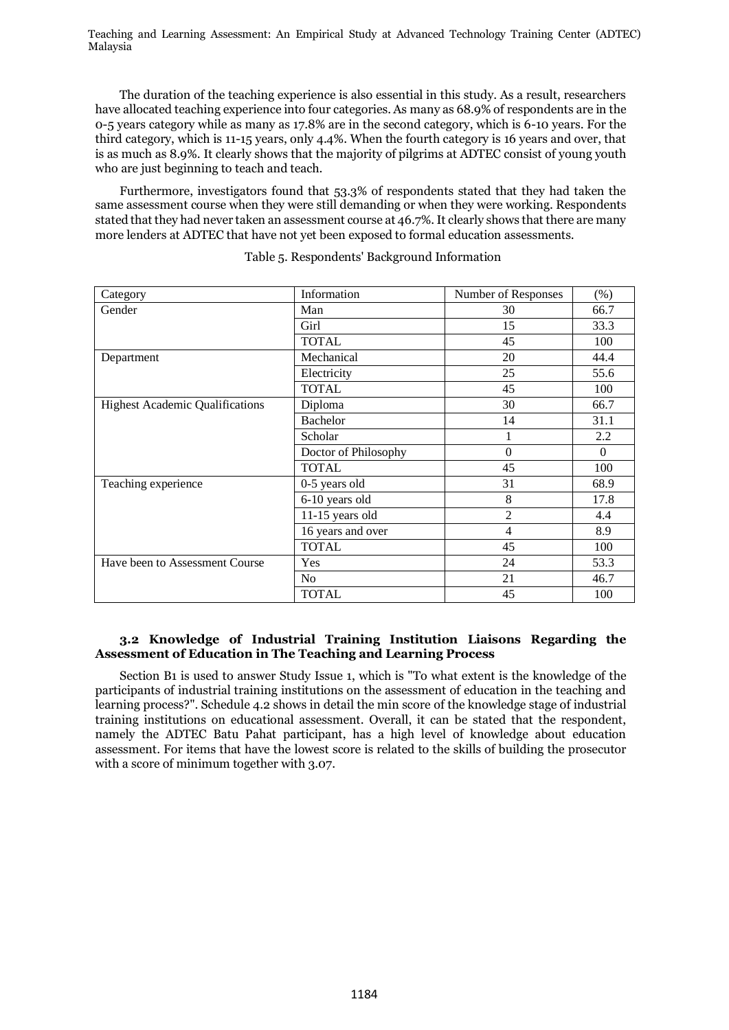The duration of the teaching experience is also essential in this study. As a result, researchers have allocated teaching experience into four categories. As many as 68.9% of respondents are in the 0-5 years category while as many as 17.8% are in the second category, which is 6-10 years. For the third category, which is 11-15 years, only 4.4%. When the fourth category is 16 years and over, that is as much as 8.9%. It clearly shows that the majority of pilgrims at ADTEC consist of young youth who are just beginning to teach and teach.

Furthermore, investigators found that 53.3% of respondents stated that they had taken the same assessment course when they were still demanding or when they were working. Respondents stated that they had never taken an assessment course at 46.7%. It clearly shows that there are many more lenders at ADTEC that have not yet been exposed to formal education assessments.

| Category                               | Information          | Number of Responses | $(\% )$  |
|----------------------------------------|----------------------|---------------------|----------|
| Gender                                 | Man                  | 30                  | 66.7     |
|                                        | Girl                 | 15                  | 33.3     |
|                                        | <b>TOTAL</b>         | 45                  | 100      |
| Department                             | Mechanical           | 20                  | 44.4     |
|                                        | Electricity          | 25                  | 55.6     |
|                                        | <b>TOTAL</b>         | 45                  | 100      |
| <b>Highest Academic Qualifications</b> | Diploma              | 30                  | 66.7     |
|                                        | Bachelor             | 14                  | 31.1     |
|                                        | Scholar              | 1                   | 2.2      |
|                                        | Doctor of Philosophy | $\Omega$            | $\Omega$ |
|                                        | <b>TOTAL</b>         | 45                  | 100      |
| Teaching experience                    | 0-5 years old        | 31                  | 68.9     |
|                                        | 6-10 years old       | 8                   | 17.8     |
|                                        | $11-15$ years old    | $\overline{2}$      | 4.4      |
|                                        | 16 years and over    | $\overline{4}$      | 8.9      |
|                                        | <b>TOTAL</b>         | 45                  | 100      |
| Have been to Assessment Course         | Yes                  | 24                  | 53.3     |
|                                        | N <sub>o</sub>       | 21                  | 46.7     |
|                                        | <b>TOTAL</b>         | 45                  | 100      |

Table 5. Respondents' Background Information

# **3.2 Knowledge of Industrial Training Institution Liaisons Regarding the Assessment of Education in The Teaching and Learning Process**

Section B1 is used to answer Study Issue 1, which is "To what extent is the knowledge of the participants of industrial training institutions on the assessment of education in the teaching and learning process?". Schedule 4.2 shows in detail the min score of the knowledge stage of industrial training institutions on educational assessment. Overall, it can be stated that the respondent, namely the ADTEC Batu Pahat participant, has a high level of knowledge about education assessment. For items that have the lowest score is related to the skills of building the prosecutor with a score of minimum together with 3.07.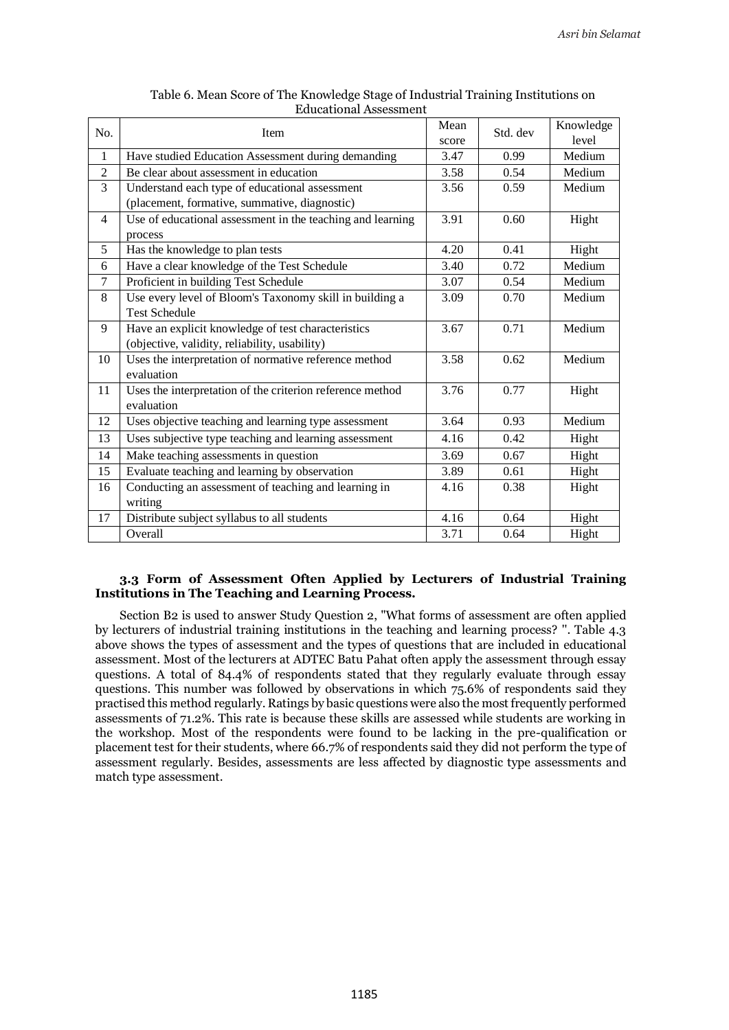| No.            | Item                                                       | Mean  | Std. dev | Knowledge |
|----------------|------------------------------------------------------------|-------|----------|-----------|
|                |                                                            | score |          | level     |
| 1              | Have studied Education Assessment during demanding         | 3.47  | 0.99     | Medium    |
| $\overline{2}$ | Be clear about assessment in education                     | 3.58  | 0.54     | Medium    |
| 3              | Understand each type of educational assessment             | 3.56  | 0.59     | Medium    |
|                | (placement, formative, summative, diagnostic)              |       |          |           |
| 4              | Use of educational assessment in the teaching and learning | 3.91  | 0.60     | Hight     |
|                | process                                                    |       |          |           |
| 5              | Has the knowledge to plan tests                            | 4.20  | 0.41     | Hight     |
| 6              | Have a clear knowledge of the Test Schedule                | 3.40  | 0.72     | Medium    |
| 7              | Proficient in building Test Schedule                       | 3.07  | 0.54     | Medium    |
| 8              | Use every level of Bloom's Taxonomy skill in building a    | 3.09  | 0.70     | Medium    |
|                | <b>Test Schedule</b>                                       |       |          |           |
| 9              | Have an explicit knowledge of test characteristics         | 3.67  | 0.71     | Medium    |
|                | (objective, validity, reliability, usability)              |       |          |           |
| 10             | Uses the interpretation of normative reference method      | 3.58  | 0.62     | Medium    |
|                | evaluation                                                 |       |          |           |
| 11             | Uses the interpretation of the criterion reference method  | 3.76  | 0.77     | Hight     |
|                | evaluation                                                 |       |          |           |
| 12             | Uses objective teaching and learning type assessment       | 3.64  | 0.93     | Medium    |
| 13             | Uses subjective type teaching and learning assessment      | 4.16  | 0.42     | Hight     |
| 14             | Make teaching assessments in question                      | 3.69  | 0.67     | Hight     |
| 15             | Evaluate teaching and learning by observation              | 3.89  | 0.61     | Hight     |
| 16             | Conducting an assessment of teaching and learning in       | 4.16  | 0.38     | Hight     |
|                | writing                                                    |       |          |           |
| 17             | Distribute subject syllabus to all students                | 4.16  | 0.64     | Hight     |
|                | Overall                                                    | 3.71  | 0.64     | Hight     |

# Table 6. Mean Score of The Knowledge Stage of Industrial Training Institutions on Educational Assessment

# **3.3 Form of Assessment Often Applied by Lecturers of Industrial Training Institutions in The Teaching and Learning Process.**

Section B2 is used to answer Study Question 2, "What forms of assessment are often applied by lecturers of industrial training institutions in the teaching and learning process? ''. Table 4.3 above shows the types of assessment and the types of questions that are included in educational assessment. Most of the lecturers at ADTEC Batu Pahat often apply the assessment through essay questions. A total of 84.4% of respondents stated that they regularly evaluate through essay questions. This number was followed by observations in which 75.6% of respondents said they practised this method regularly. Ratings by basic questions were also the most frequently performed assessments of 71.2%. This rate is because these skills are assessed while students are working in the workshop. Most of the respondents were found to be lacking in the pre-qualification or placement test for their students, where 66.7% of respondents said they did not perform the type of assessment regularly. Besides, assessments are less affected by diagnostic type assessments and match type assessment.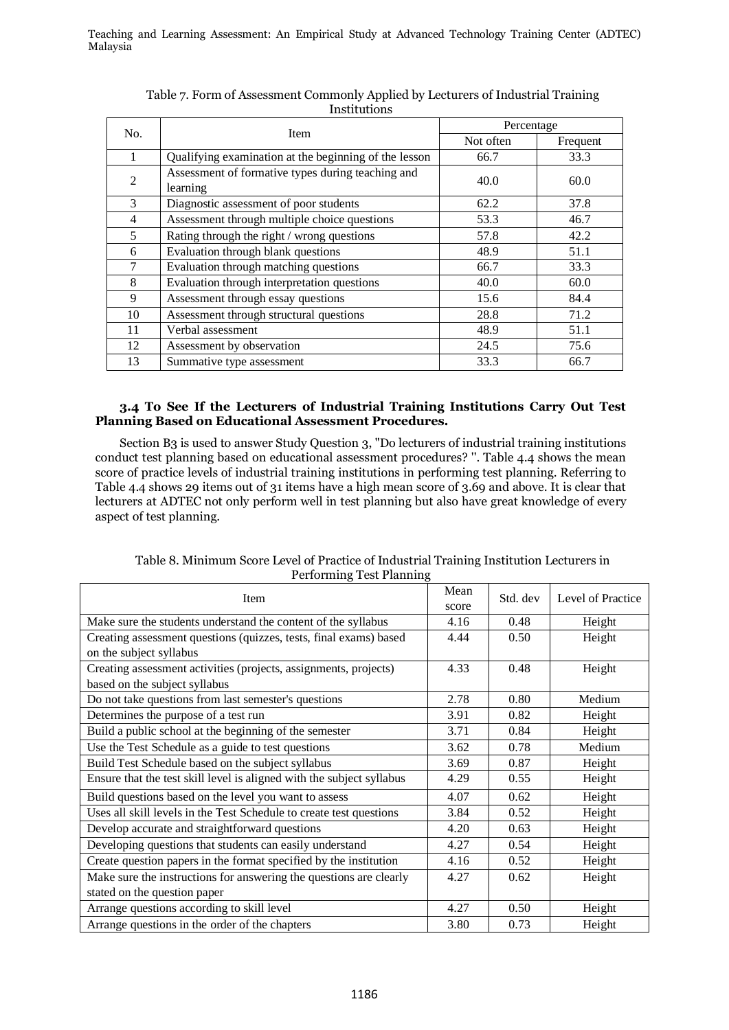| No.            |                                                               | Percentage |          |  |
|----------------|---------------------------------------------------------------|------------|----------|--|
|                | <b>Item</b>                                                   | Not often  | Frequent |  |
|                | Qualifying examination at the beginning of the lesson         | 66.7       | 33.3     |  |
| $\mathfrak{D}$ | Assessment of formative types during teaching and<br>learning | 40.0       | 60.0     |  |
| 3              | Diagnostic assessment of poor students                        | 62.2       | 37.8     |  |
| $\overline{4}$ | Assessment through multiple choice questions                  | 53.3       | 46.7     |  |
| 5              | Rating through the right / wrong questions                    | 57.8       | 42.2     |  |
| 6              | Evaluation through blank questions                            | 48.9       | 51.1     |  |
| $\tau$         | Evaluation through matching questions                         | 66.7       | 33.3     |  |
| 8              | Evaluation through interpretation questions                   | 40.0       | 60.0     |  |
| 9              | Assessment through essay questions                            | 15.6       | 84.4     |  |
| 10             | Assessment through structural questions                       | 28.8       | 71.2     |  |
| 11             | Verbal assessment                                             | 48.9       | 51.1     |  |
| 12             | Assessment by observation                                     | 24.5       | 75.6     |  |
| 13             | Summative type assessment                                     | 33.3       | 66.7     |  |

Table 7. Form of Assessment Commonly Applied by Lecturers of Industrial Training Institutions

# **3.4 To See If the Lecturers of Industrial Training Institutions Carry Out Test Planning Based on Educational Assessment Procedures.**

Section B3 is used to answer Study Question 3, "Do lecturers of industrial training institutions conduct test planning based on educational assessment procedures? ''. Table 4.4 shows the mean score of practice levels of industrial training institutions in performing test planning. Referring to Table 4.4 shows 29 items out of 31 items have a high mean score of 3.69 and above. It is clear that lecturers at ADTEC not only perform well in test planning but also have great knowledge of every aspect of test planning.

| <b>Item</b>                                                           |      | Std. dev | Level of Practice |
|-----------------------------------------------------------------------|------|----------|-------------------|
|                                                                       |      |          |                   |
| Make sure the students understand the content of the syllabus         | 4.16 | 0.48     | Height            |
| Creating assessment questions (quizzes, tests, final exams) based     | 4.44 | 0.50     | Height            |
| on the subject syllabus                                               |      |          |                   |
| Creating assessment activities (projects, assignments, projects)      | 4.33 | 0.48     | Height            |
| based on the subject syllabus                                         |      |          |                   |
| Do not take questions from last semester's questions                  | 2.78 | 0.80     | Medium            |
| Determines the purpose of a test run                                  | 3.91 | 0.82     | Height            |
| Build a public school at the beginning of the semester                | 3.71 | 0.84     | Height            |
| Use the Test Schedule as a guide to test questions                    | 3.62 | 0.78     | Medium            |
| Build Test Schedule based on the subject syllabus                     | 3.69 | 0.87     | Height            |
| Ensure that the test skill level is aligned with the subject syllabus | 4.29 | 0.55     | Height            |
| Build questions based on the level you want to assess                 | 4.07 | 0.62     | Height            |
| Uses all skill levels in the Test Schedule to create test questions   | 3.84 | 0.52     | Height            |
| Develop accurate and straightforward questions                        | 4.20 | 0.63     | Height            |
| Developing questions that students can easily understand              | 4.27 | 0.54     | Height            |
| Create question papers in the format specified by the institution     | 4.16 | 0.52     | Height            |
| Make sure the instructions for answering the questions are clearly    | 4.27 | 0.62     | Height            |
| stated on the question paper                                          |      |          |                   |
| Arrange questions according to skill level                            | 4.27 | 0.50     | Height            |
| Arrange questions in the order of the chapters                        | 3.80 | 0.73     | Height            |

Table 8. Minimum Score Level of Practice of Industrial Training Institution Lecturers in Performing Test Planning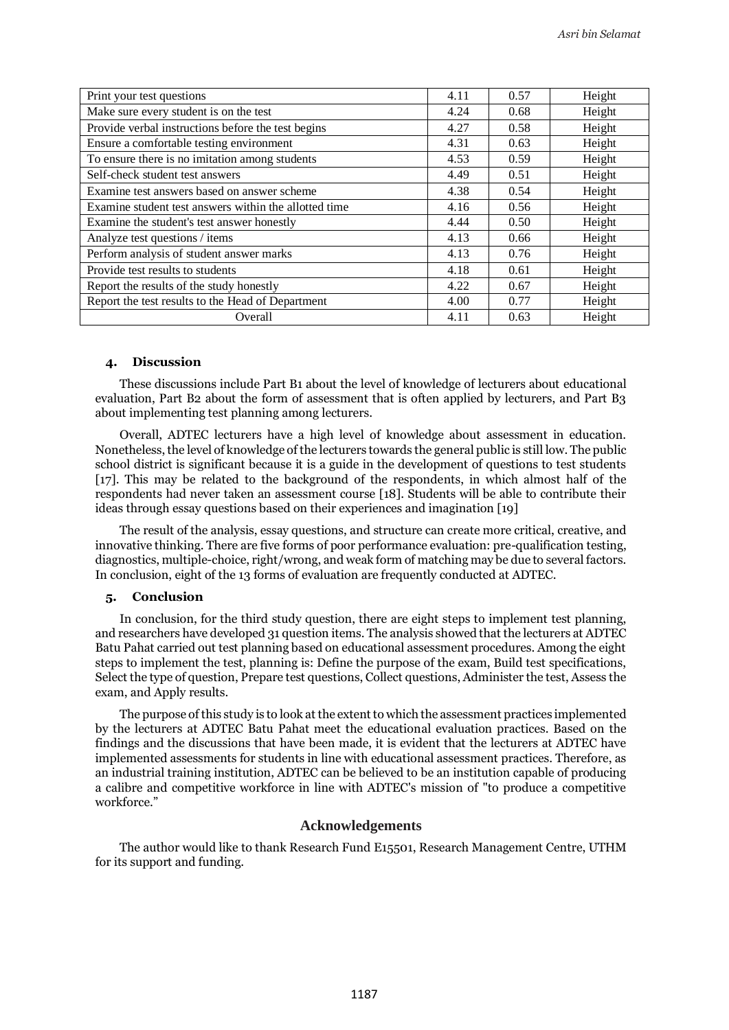| Print your test questions                             | 4.11 | 0.57 | Height |
|-------------------------------------------------------|------|------|--------|
| Make sure every student is on the test                | 4.24 | 0.68 | Height |
| Provide verbal instructions before the test begins    | 4.27 | 0.58 | Height |
| Ensure a comfortable testing environment              | 4.31 | 0.63 | Height |
| To ensure there is no imitation among students        | 4.53 | 0.59 | Height |
| Self-check student test answers                       | 4.49 | 0.51 | Height |
| Examine test answers based on answer scheme           | 4.38 | 0.54 | Height |
| Examine student test answers within the allotted time | 4.16 | 0.56 | Height |
| Examine the student's test answer honestly            | 4.44 | 0.50 | Height |
| Analyze test questions / items                        | 4.13 | 0.66 | Height |
| Perform analysis of student answer marks              | 4.13 | 0.76 | Height |
| Provide test results to students                      | 4.18 | 0.61 | Height |
| Report the results of the study honestly              | 4.22 | 0.67 | Height |
| Report the test results to the Head of Department     | 4.00 | 0.77 | Height |
| Overall                                               | 4.11 | 0.63 | Height |

# **4. Discussion**

These discussions include Part B1 about the level of knowledge of lecturers about educational evaluation, Part B2 about the form of assessment that is often applied by lecturers, and Part B3 about implementing test planning among lecturers.

Overall, ADTEC lecturers have a high level of knowledge about assessment in education. Nonetheless, the level of knowledge of the lecturers towards the general public is still low. The public school district is significant because it is a guide in the development of questions to test students [17]. This may be related to the background of the respondents, in which almost half of the respondents had never taken an assessment course [18]. Students will be able to contribute their ideas through essay questions based on their experiences and imagination [19]

The result of the analysis, essay questions, and structure can create more critical, creative, and innovative thinking. There are five forms of poor performance evaluation: pre-qualification testing, diagnostics, multiple-choice, right/wrong, and weak form of matching may be due to several factors. In conclusion, eight of the 13 forms of evaluation are frequently conducted at ADTEC.

#### **5. Conclusion**

In conclusion, for the third study question, there are eight steps to implement test planning, and researchers have developed 31 question items. The analysis showed that the lecturers at ADTEC Batu Pahat carried out test planning based on educational assessment procedures. Among the eight steps to implement the test, planning is: Define the purpose of the exam, Build test specifications, Select the type of question, Prepare test questions, Collect questions, Administer the test, Assess the exam, and Apply results.

The purpose of this study is to look at the extent to which the assessment practices implemented by the lecturers at ADTEC Batu Pahat meet the educational evaluation practices. Based on the findings and the discussions that have been made, it is evident that the lecturers at ADTEC have implemented assessments for students in line with educational assessment practices. Therefore, as an industrial training institution, ADTEC can be believed to be an institution capable of producing a calibre and competitive workforce in line with ADTEC's mission of "to produce a competitive workforce."

# **Acknowledgements**

The author would like to thank Research Fund E15501, Research Management Centre, UTHM for its support and funding.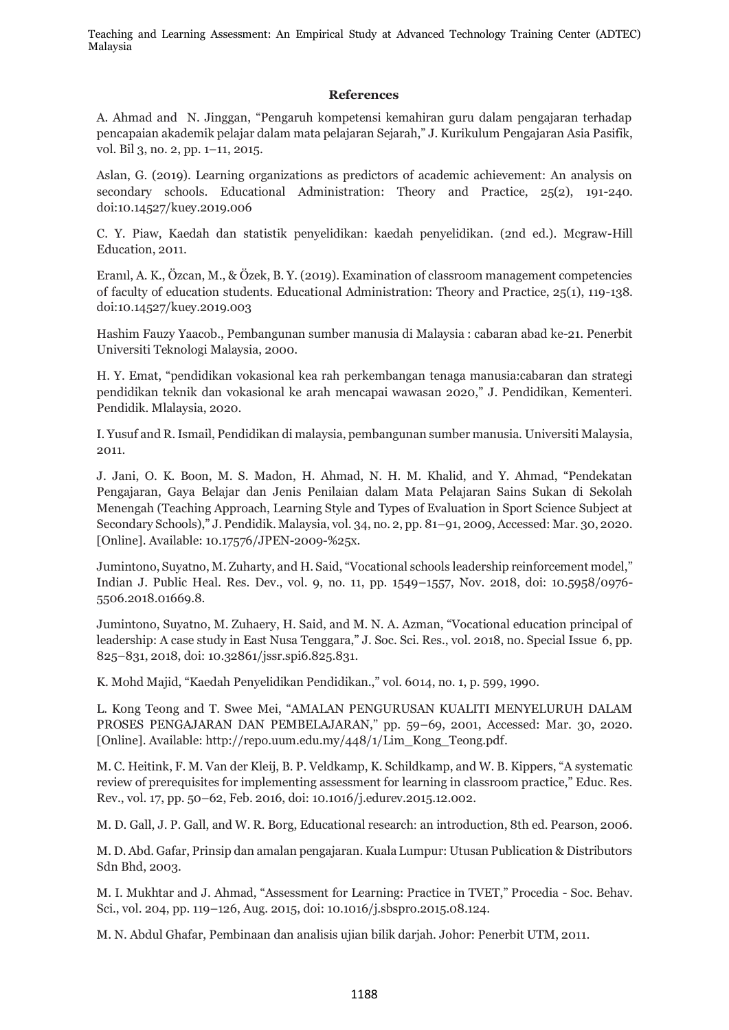# **References**

A. Ahmad and N. Jinggan, "Pengaruh kompetensi kemahiran guru dalam pengajaran terhadap pencapaian akademik pelajar dalam mata pelajaran Sejarah," J. Kurikulum Pengajaran Asia Pasifik, vol. Bil 3, no. 2, pp. 1–11, 2015.

Aslan, G. (2019). Learning organizations as predictors of academic achievement: An analysis on secondary schools. Educational Administration: Theory and Practice, 25(2), 191-240. doi:10.14527/kuey.2019.006

C. Y. Piaw, Kaedah dan statistik penyelidikan: kaedah penyelidikan. (2nd ed.). Mcgraw-Hill Education, 2011.

Eranıl, A. K., Özcan, M., & Özek, B. Y. (2019). Examination of classroom management competencies of faculty of education students. Educational Administration: Theory and Practice, 25(1), 119-138. doi:10.14527/kuey.2019.003

Hashim Fauzy Yaacob., Pembangunan sumber manusia di Malaysia : cabaran abad ke-21. Penerbit Universiti Teknologi Malaysia, 2000.

H. Y. Emat, "pendidikan vokasional kea rah perkembangan tenaga manusia:cabaran dan strategi pendidikan teknik dan vokasional ke arah mencapai wawasan 2020," J. Pendidikan, Kementeri. Pendidik. Mlalaysia, 2020.

I. Yusuf and R. Ismail, Pendidikan di malaysia, pembangunan sumber manusia. Universiti Malaysia, 2011.

J. Jani, O. K. Boon, M. S. Madon, H. Ahmad, N. H. M. Khalid, and Y. Ahmad, "Pendekatan Pengajaran, Gaya Belajar dan Jenis Penilaian dalam Mata Pelajaran Sains Sukan di Sekolah Menengah (Teaching Approach, Learning Style and Types of Evaluation in Sport Science Subject at Secondary Schools)," J. Pendidik. Malaysia, vol. 34, no. 2, pp. 81–91, 2009, Accessed: Mar. 30, 2020. [Online]. Available: 10.17576/JPEN-2009-%25x.

Jumintono, Suyatno, M. Zuharty, and H. Said, "Vocational schools leadership reinforcement model," Indian J. Public Heal. Res. Dev., vol. 9, no. 11, pp. 1549–1557, Nov. 2018, doi: 10.5958/0976- 5506.2018.01669.8.

Jumintono, Suyatno, M. Zuhaery, H. Said, and M. N. A. Azman, "Vocational education principal of leadership: A case study in East Nusa Tenggara," J. Soc. Sci. Res., vol. 2018, no. Special Issue 6, pp. 825–831, 2018, doi: 10.32861/jssr.spi6.825.831.

K. Mohd Majid, "Kaedah Penyelidikan Pendidikan.," vol. 6014, no. 1, p. 599, 1990.

L. Kong Teong and T. Swee Mei, "AMALAN PENGURUSAN KUALITI MENYELURUH DALAM PROSES PENGAJARAN DAN PEMBELAJARAN," pp. 59–69, 2001, Accessed: Mar. 30, 2020. [Online]. Available: http://repo.uum.edu.my/448/1/Lim\_Kong\_Teong.pdf.

M. C. Heitink, F. M. Van der Kleij, B. P. Veldkamp, K. Schildkamp, and W. B. Kippers, "A systematic review of prerequisites for implementing assessment for learning in classroom practice," Educ. Res. Rev., vol. 17, pp. 50–62, Feb. 2016, doi: 10.1016/j.edurev.2015.12.002.

M. D. Gall, J. P. Gall, and W. R. Borg, Educational research: an introduction, 8th ed. Pearson, 2006.

M. D. Abd. Gafar, Prinsip dan amalan pengajaran. Kuala Lumpur: Utusan Publication & Distributors Sdn Bhd, 2003.

M. I. Mukhtar and J. Ahmad, "Assessment for Learning: Practice in TVET," Procedia - Soc. Behav. Sci., vol. 204, pp. 119–126, Aug. 2015, doi: 10.1016/j.sbspro.2015.08.124.

M. N. Abdul Ghafar, Pembinaan dan analisis ujian bilik darjah. Johor: Penerbit UTM, 2011.